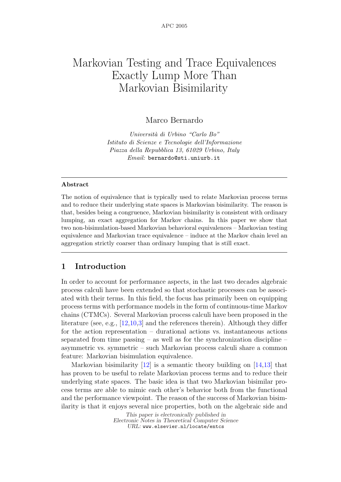# Markovian Testing and Trace Equivalences Exactly Lump More Than Markovian Bisimilarity

Marco Bernardo

Universit`a di Urbino "Carlo Bo" Istituto di Scienze e Tecnologie dell'Informazione Piazza della Repubblica 13, 61029 Urbino, Italy Email: bernardo@sti.uniurb.it

### Abstract

The notion of equivalence that is typically used to relate Markovian process terms and to reduce their underlying state spaces is Markovian bisimilarity. The reason is that, besides being a congruence, Markovian bisimilarity is consistent with ordinary lumping, an exact aggregation for Markov chains. In this paper we show that two non-bisimulation-based Markovian behavioral equivalences – Markovian testing equivalence and Markovian trace equivalence – induce at the Markov chain level an aggregation strictly coarser than ordinary lumping that is still exact.

# 1 Introduction

In order to account for performance aspects, in the last two decades algebraic process calculi have been extended so that stochastic processes can be associated with their terms. In this field, the focus has primarily been on equipping process terms with performance models in the form of continuous-time Markov chains (CTMCs). Several Markovian process calculi have been proposed in the literature (see, e.g., [12,10,3] and the references therein). Although they differ for the action representation – durational actions vs. instantaneous actions separated from time passing – as well as for the synchronization discipline – asymmetric vs. symmetric – such Markovian process calculi share a common feature: Markovian bisimulation equivalence.

Markovian bisimilarity  $[12]$  is a semantic theory building on  $[14,13]$  that has proven to be useful to relate Markovian process terms and to reduce their underlying state spaces. The basic idea is that two Markovian bisimilar process terms are able to mimic each other's behavior both from the functional and the performance viewpoint. The reason of the success of Markovian bisimilarity is that it enjoys several nice properties, both on the algebraic side and

> This paper is electronically published in Electronic Notes in Theoretical Computer Science URL: www.elsevier.nl/locate/entcs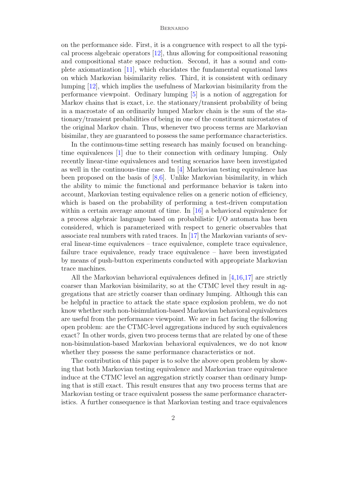on the performance side. First, it is a congruence with respect to all the typical process algebraic operators [12], thus allowing for compositional reasoning and compositional state space reduction. Second, it has a sound and complete axiomatization [11], which elucidates the fundamental equational laws on which Markovian bisimilarity relies. Third, it is consistent with ordinary lumping [12], which implies the usefulness of Markovian bisimilarity from the performance viewpoint. Ordinary lumping [5] is a notion of aggregation for Markov chains that is exact, i.e. the stationary/transient probability of being in a macrostate of an ordinarily lumped Markov chain is the sum of the stationary/transient probabilities of being in one of the constituent microstates of the original Markov chain. Thus, whenever two process terms are Markovian bisimilar, they are guaranteed to possess the same performance characteristics.

In the continuous-time setting research has mainly focused on branchingtime equivalences [1] due to their connection with ordinary lumping. Only recently linear-time equivalences and testing scenarios have been investigated as well in the continuous-time case. In [4] Markovian testing equivalence has been proposed on the basis of  $[8,6]$ . Unlike Markovian bisimilarity, in which the ability to mimic the functional and performance behavior is taken into account, Markovian testing equivalence relies on a generic notion of efficiency, which is based on the probability of performing a test-driven computation within a certain average amount of time. In [16] a behavioral equivalence for a process algebraic language based on probabilistic I/O automata has been considered, which is parameterized with respect to generic observables that associate real numbers with rated traces. In [17] the Markovian variants of several linear-time equivalences – trace equivalence, complete trace equivalence, failure trace equivalence, ready trace equivalence – have been investigated by means of push-button experiments conducted with appropriate Markovian trace machines.

All the Markovian behavioral equivalences defined in  $[4,16,17]$  are strictly coarser than Markovian bisimilarity, so at the CTMC level they result in aggregations that are strictly coarser than ordinary lumping. Although this can be helpful in practice to attack the state space explosion problem, we do not know whether such non-bisimulation-based Markovian behavioral equivalences are useful from the performance viewpoint. We are in fact facing the following open problem: are the CTMC-level aggregations induced by such equivalences exact? In other words, given two process terms that are related by one of these non-bisimulation-based Markovian behavioral equivalences, we do not know whether they possess the same performance characteristics or not.

The contribution of this paper is to solve the above open problem by showing that both Markovian testing equivalence and Markovian trace equivalence induce at the CTMC level an aggregation strictly coarser than ordinary lumping that is still exact. This result ensures that any two process terms that are Markovian testing or trace equivalent possess the same performance characteristics. A further consequence is that Markovian testing and trace equivalences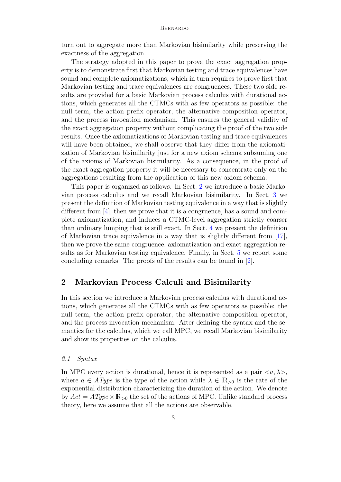turn out to aggregate more than Markovian bisimilarity while preserving the exactness of the aggregation.

The strategy adopted in this paper to prove the exact aggregation property is to demonstrate first that Markovian testing and trace equivalences have sound and complete axiomatizations, which in turn requires to prove first that Markovian testing and trace equivalences are congruences. These two side results are provided for a basic Markovian process calculus with durational actions, which generates all the CTMCs with as few operators as possible: the null term, the action prefix operator, the alternative composition operator, and the process invocation mechanism. This ensures the general validity of the exact aggregation property without complicating the proof of the two side results. Once the axiomatizations of Markovian testing and trace equivalences will have been obtained, we shall observe that they differ from the axiomatization of Markovian bisimilarity just for a new axiom schema subsuming one of the axioms of Markovian bisimilarity. As a consequence, in the proof of the exact aggregation property it will be necessary to concentrate only on the aggregations resulting from the application of this new axiom schema.

This paper is organized as follows. In Sect. 2 we introduce a basic Markovian process calculus and we recall Markovian bisimilarity. In Sect. 3 we present the definition of Markovian testing equivalence in a way that is slightly different from [4], then we prove that it is a congruence, has a sound and complete axiomatization, and induces a CTMC-level aggregation strictly coarser than ordinary lumping that is still exact. In Sect. 4 we present the definition of Markovian trace equivalence in a way that is slightly different from [17], then we prove the same congruence, axiomatization and exact aggregation results as for Markovian testing equivalence. Finally, in Sect. 5 we report some concluding remarks. The proofs of the results can be found in [2].

## 2 Markovian Process Calculi and Bisimilarity

In this section we introduce a Markovian process calculus with durational actions, which generates all the CTMCs with as few operators as possible: the null term, the action prefix operator, the alternative composition operator, and the process invocation mechanism. After defining the syntax and the semantics for the calculus, which we call MPC, we recall Markovian bisimilarity and show its properties on the calculus.

### 2.1 Syntax

In MPC every action is durational, hence it is represented as a pair  $\langle a, \lambda \rangle$ , where  $a \in \mathit{AType}$  is the type of the action while  $\lambda \in \mathbb{R}_{\geq 0}$  is the rate of the exponential distribution characterizing the duration of the action. We denote by  $Act = AType \times \mathbb{R}_{>0}$  the set of the actions of MPC. Unlike standard process theory, here we assume that all the actions are observable.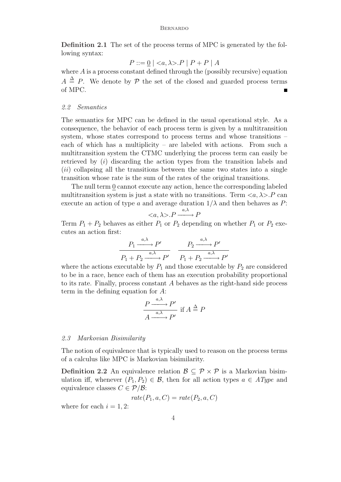Definition 2.1 The set of the process terms of MPC is generated by the following syntax:

$$
P ::= \underline{0} \mid \langle a, \lambda \rangle . P \mid P + P \mid A
$$

where  $A$  is a process constant defined through the (possibly recursive) equation  $A \triangleq P$ . We denote by P the set of the closed and guarded process terms of MPC. Ē.

#### 2.2 Semantics

The semantics for MPC can be defined in the usual operational style. As a consequence, the behavior of each process term is given by a multitransition system, whose states correspond to process terms and whose transitions – each of which has a multiplicity – are labeled with actions. From such a multitransition system the CTMC underlying the process term can easily be retrieved by  $(i)$  discarding the action types from the transition labels and  $(ii)$  collapsing all the transitions between the same two states into a single transition whose rate is the sum of the rates of the original transitions.

The null term 0 cannot execute any action, hence the corresponding labeled multitransition system is just a state with no transitions. Term  $\langle a, \lambda \rangle P$  can execute an action of type a and average duration  $1/\lambda$  and then behaves as P:

$$
\langle a, \lambda \rangle P \xrightarrow{a, \lambda} P
$$

Term  $P_1 + P_2$  behaves as either  $P_1$  or  $P_2$  depending on whether  $P_1$  or  $P_2$  executes an action first:

$$
\frac{P_1 \xrightarrow{a,\lambda} P'}{P_1 + P_2 \xrightarrow{a,\lambda} P'} \quad \frac{P_2 \xrightarrow{a,\lambda} P'}{P_1 + P_2 \xrightarrow{a,\lambda} P'}
$$

where the actions executable by  $P_1$  and those executable by  $P_2$  are considered to be in a race, hence each of them has an execution probability proportional to its rate. Finally, process constant A behaves as the right-hand side process term in the defining equation for A:

$$
\frac{P \xrightarrow{a,\lambda} P'}{A \xrightarrow{a,\lambda} P'} \text{ if } A \stackrel{\Delta}{=} P
$$

#### 2.3 Markovian Bisimilarity

The notion of equivalence that is typically used to reason on the process terms of a calculus like MPC is Markovian bisimilarity.

**Definition 2.2** An equivalence relation  $\mathcal{B} \subseteq \mathcal{P} \times \mathcal{P}$  is a Markovian bisimulation iff, whenever  $(P_1, P_2) \in \mathcal{B}$ , then for all action types  $a \in \mathit{AType}$  and equivalence classes  $C \in \mathcal{P}/\mathcal{B}$ :

$$
rate(P_1, a, C) = rate(P_2, a, C)
$$

where for each  $i = 1, 2$ :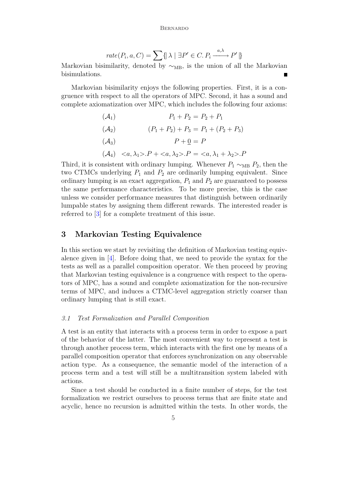$$
rate(P_i, a, C) = \sum \{ |\lambda| \exists P' \in C. P_i \xrightarrow{a, \lambda} P' | \}
$$

Markovian bisimilarity, denoted by  $\sim_{MB}$ , is the union of all the Markovian bisimulations.

Markovian bisimilarity enjoys the following properties. First, it is a congruence with respect to all the operators of MPC. Second, it has a sound and complete axiomatization over MPC, which includes the following four axioms:

(A<sub>1</sub>) 
$$
P_1 + P_2 = P_2 + P_1
$$
  
\n(A<sub>2</sub>)  $(P_1 + P_2) + P_3 = P_1 + (P_2 + P_3)$   
\n(A<sub>3</sub>)  $P + \underline{0} = P$   
\n(A<sub>4</sub>)  $\langle a, \lambda_1 \rangle . P + \langle a, \lambda_2 \rangle . P = \langle a, \lambda_1 + \lambda_2 \rangle . P$ 

Third, it is consistent with ordinary lumping. Whenever  $P_1 \sim_{MB} P_2$ , then the two CTMCs underlying  $P_1$  and  $P_2$  are ordinarily lumping equivalent. Since ordinary lumping is an exact aggregation,  $P_1$  and  $P_2$  are guaranteed to possess the same performance characteristics. To be more precise, this is the case unless we consider performance measures that distinguish between ordinarily lumpable states by assigning them different rewards. The interested reader is referred to [3] for a complete treatment of this issue.

# 3 Markovian Testing Equivalence

In this section we start by revisiting the definition of Markovian testing equivalence given in  $[4]$ . Before doing that, we need to provide the syntax for the tests as well as a parallel composition operator. We then proceed by proving that Markovian testing equivalence is a congruence with respect to the operators of MPC, has a sound and complete axiomatization for the non-recursive terms of MPC, and induces a CTMC-level aggregation strictly coarser than ordinary lumping that is still exact.

### 3.1 Test Formalization and Parallel Composition

A test is an entity that interacts with a process term in order to expose a part of the behavior of the latter. The most convenient way to represent a test is through another process term, which interacts with the first one by means of a parallel composition operator that enforces synchronization on any observable action type. As a consequence, the semantic model of the interaction of a process term and a test will still be a multitransition system labeled with actions.

Since a test should be conducted in a finite number of steps, for the test formalization we restrict ourselves to process terms that are finite state and acyclic, hence no recursion is admitted within the tests. In other words, the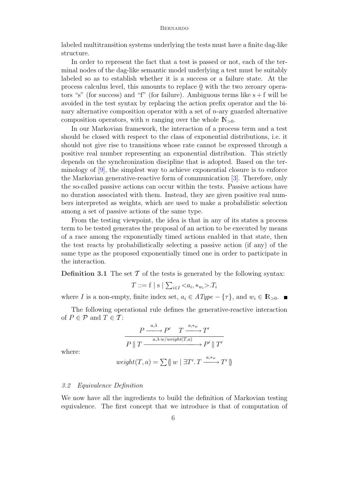labeled multitransition systems underlying the tests must have a finite dag-like structure.

In order to represent the fact that a test is passed or not, each of the terminal nodes of the dag-like semantic model underlying a test must be suitably labeled so as to establish whether it is a success or a failure state. At the process calculus level, this amounts to replace 0 with the two zeroary operators "s" (for success) and "f" (for failure). Ambiguous terms like  $s + f$  will be avoided in the test syntax by replacing the action prefix operator and the binary alternative composition operator with a set of  $n$ -ary guarded alternative composition operators, with n ranging over the whole  $N_{>0}$ .

In our Markovian framework, the interaction of a process term and a test should be closed with respect to the class of exponential distributions, i.e. it should not give rise to transitions whose rate cannot be expressed through a positive real number representing an exponential distribution. This strictly depends on the synchronization discipline that is adopted. Based on the terminology of [9], the simplest way to achieve exponential closure is to enforce the Markovian generative-reactive form of communication [3]. Therefore, only the so-called passive actions can occur within the tests. Passive actions have no duration associated with them. Instead, they are given positive real numbers interpreted as weights, which are used to make a probabilistic selection among a set of passive actions of the same type.

From the testing viewpoint, the idea is that in any of its states a process term to be tested generates the proposal of an action to be executed by means of a race among the exponentially timed actions enabled in that state, then the test reacts by probabilistically selecting a passive action (if any) of the same type as the proposed exponentially timed one in order to participate in the interaction.

**Definition 3.1** The set  $\mathcal T$  of the tests is generated by the following syntax:

$$
T ::= f | s | \sum_{i \in I} \langle a_i, *_{w_i} \rangle . T_i
$$

where I is a non-empty, finite index set,  $a_i \in AType - {\tau}$ , and  $w_i \in \mathbb{R}_{>0}$ .

The following operational rule defines the generative-reactive interaction of  $P \in \mathcal{P}$  and  $T \in \mathcal{T}$ :

$$
\frac{P \xrightarrow{a,\lambda} P' \quad T \xrightarrow{a,*w} T'}{P \| T \xrightarrow{a,\lambda \cdot w/weight(T,a)} P' \| T'}
$$

where:

$$
weight(T, a) = \sum \{w \mid \exists T'.\, T \xrightarrow{a,*_w} T' \}
$$

### 3.2 Equivalence Definition

We now have all the ingredients to build the definition of Markovian testing equivalence. The first concept that we introduce is that of computation of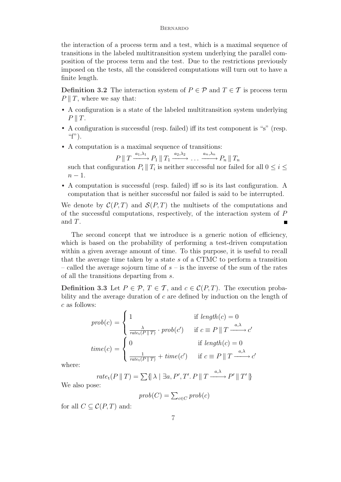the interaction of a process term and a test, which is a maximal sequence of transitions in the labeled multitransition system underlying the parallel composition of the process term and the test. Due to the restrictions previously imposed on the tests, all the considered computations will turn out to have a finite length.

**Definition 3.2** The interaction system of  $P \in \mathcal{P}$  and  $T \in \mathcal{T}$  is process term  $P \parallel T$ , where we say that:

- A configuration is a state of the labeled multitransition system underlying  $P \parallel T$ .
- A configuration is successful (resp. failed) iff its test component is "s" (resp. " $f$ ").
- A computation is a maximal sequence of transitions:

$$
P \| T \xrightarrow{a_1, \lambda_1} P_1 \| T_1 \xrightarrow{a_2, \lambda_2} \dots \xrightarrow{a_n, \lambda_n} P_n \| T_n
$$

such that configuration  $P_i \parallel T_i$  is neither successful nor failed for all  $0 \leq i \leq$  $n-1$ .

• A computation is successful (resp. failed) iff so is its last configuration. A computation that is neither successful nor failed is said to be interrupted.

We denote by  $\mathcal{C}(P,T)$  and  $\mathcal{S}(P,T)$  the multisets of the computations and of the successful computations, respectively, of the interaction system of P and T.

The second concept that we introduce is a generic notion of efficiency, which is based on the probability of performing a test-driven computation within a given average amount of time. To this purpose, it is useful to recall that the average time taken by a state s of a CTMC to perform a transition – called the average sojourn time of  $s$  – is the inverse of the sum of the rates of all the transitions departing from s.

Definition 3.3 Let  $P \in \mathcal{P}, T \in \mathcal{T}$ , and  $c \in \mathcal{C}(P,T)$ . The execution probability and the average duration of  $c$  are defined by induction on the length of c as follows:  $\overline{a}$ 

$$
prob(c) = \begin{cases} 1 & \text{if } length(c) = 0\\ \frac{\lambda}{rate_t(P||T)} \cdot prob(c') & \text{if } c \equiv P || T \xrightarrow{a,\lambda} c'\\ time(c) = \begin{cases} 0 & \text{if } length(c) = 0\\ \frac{1}{rate_t(P||T)} + time(c') & \text{if } c \equiv P || T \xrightarrow{a,\lambda} c' \end{cases} \end{cases}
$$

where:

$$
rate_t(P \parallel T) = \sum \{ |\lambda| \exists a, P', T'. P \parallel T \xrightarrow{a, \lambda} P' \parallel T' \}
$$

We also pose:

$$
prob(C) = \sum_{c \in C} prob(c)
$$

for all  $C \subset \mathcal{C}(P,T)$  and: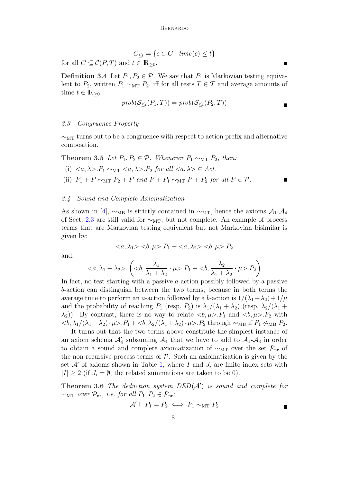$$
C_{\leq t} = \{c \in C \mid \text{time}(c) \leq t\}
$$

for all  $C \subseteq \mathcal{C}(P,T)$  and  $t \in \mathbb{R}_{\geq 0}$ .

**Definition 3.4** Let  $P_1, P_2 \in \mathcal{P}$ . We say that  $P_1$  is Markovian testing equivalent to  $P_2$ , written  $P_1 \sim_{\text{MT}} P_2$ , iff for all tests  $T \in \mathcal{T}$  and average amounts of time  $t \in \mathbb{R}_{\geq 0}$ :

$$
prob(S_{\leq t}(P_1, T)) = prob(S_{\leq t}(P_2, T))
$$

### 3.3 Congruence Property

 $\sim_{\text{MT}}$  turns out to be a congruence with respect to action prefix and alternative composition.

Theorem 3.5 Let  $P_1, P_2 \in \mathcal{P}$ . Whenever  $P_1 \sim_{\text{MT}} P_2$ , then:

(i)  $\langle a, \lambda \rangle P_1 \sim_{\text{MT}} \langle a, \lambda \rangle P_2$  for all  $\langle a, \lambda \rangle \in Act$ .

(ii)  $P_1 + P \sim_{\text{MT}} P_2 + P$  and  $P + P_1 \sim_{\text{MT}} P + P_2$  for all  $P \in \mathcal{P}$ .

#### 3.4 Sound and Complete Axiomatization

As shown in [4],  $\sim_{MB}$  is strictly contained in  $\sim_{MT}$ , hence the axioms  $\mathcal{A}_1$ - $\mathcal{A}_4$ of Sect. 2.3 are still valid for  $\sim_{\text{MT}}$ , but not complete. An example of process terms that are Markovian testing equivalent but not Markovian bisimilar is given by:

$$
\langle a, \lambda_1 \rangle \langle b, \mu \rangle \langle P_1 + \langle a, \lambda_2 \rangle \langle b, \mu \rangle \langle P_2
$$

and:

$$
\cdot \left( , \frac{\lambda_1}{\lambda_1 + \lambda_2} \cdot \mu >.P_1 + , \frac{\lambda_2}{\lambda_1 + \lambda_2} \cdot \mu >.P_2 \right)
$$

In fact, no test starting with a passive a-action possibly followed by a passive b-action can distinguish between the two terms, because in both terms the average time to perform an a-action followed by a b-action is  $1/(\lambda_1 + \lambda_2) + 1/\mu$ and the probability of reaching  $P_1$  (resp.  $P_2$ ) is  $\lambda_1/(\lambda_1 + \lambda_2)$  (resp.  $\lambda_2/(\lambda_1 +$  $(\lambda_2)$ ). By contrast, there is no way to relate  $\langle b, \mu \rangle P_1$  and  $\langle b, \mu \rangle P_2$  with  $<\!\!\delta, \lambda_1/(\lambda_1 + \lambda_2) \cdot \mu$ >. $P_1 + <\!\!\delta, \lambda_2/(\lambda_1 + \lambda_2) \cdot \mu$ >. $P_2$  through  $\sim_{MB}$  if  $P_1 \not\sim_{MB} P_2$ .

It turns out that the two terms above constitute the simplest instance of an axiom schema  $\mathcal{A}_4$  subsuming  $\mathcal{A}_4$  that we have to add to  $\mathcal{A}_1$ - $\mathcal{A}_3$  in order to obtain a sound and complete axiomatization of  $\sim_{\text{MT}}$  over the set  $\mathcal{P}_{\text{nr}}$  of the non-recursive process terms of  $P$ . Such an axiomatization is given by the set  $\mathcal{A}'$  of axioms shown in Table 1, where I and  $J_i$  are finite index sets with  $|I| \geq 2$  (if  $J_i = \emptyset$ , the related summations are taken to be 0).

**Theorem 3.6** The deduction system  $DED(A')$  is sound and complete for  $\sim_{\text{MT}}$  over  $\mathcal{P}_{\text{nr}}$ , i.e. for all  $P_1, P_2 \in \mathcal{P}_{\text{nr}}$ :

$$
\mathcal{A}' \vdash P_1 = P_2 \iff P_1 \sim_{\text{MT}} P_2
$$

 $\blacksquare$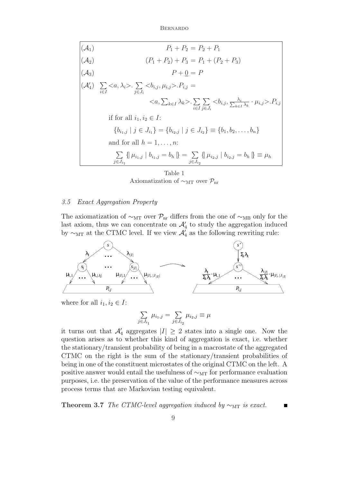$$
(A_1) \t P_1 + P_2 = P_2 + P_1
$$
  
\n
$$
(A_2) \t (P_1 + P_2) + P_3 = P_1 + (P_2 + P_3)
$$
  
\n
$$
(A_3) \t P + \underline{0} = P
$$
  
\n
$$
(A'_4) \sum_{i \in I} < a, \lambda_i > \sum_{j \in J_i} < b_{i,j}, \mu_{i,j} > \dots, P_{i,j} =
$$
  
\n
$$
< a, \sum_{k \in I} \lambda_k > \sum_{i \in I} \sum_{j \in J_i} < b_{i,j}, \frac{\lambda_i}{\sum_{k \in I} \lambda_k} \cdot \mu_{i,j} > \dots, P_{i,j}
$$
  
\nif for all  $i_1, i_2 \in I$ :  
\n
$$
\{b_{i_1,j} \mid j \in J_{i_1}\} = \{b_{i_2,j} \mid j \in J_{i_2}\} \equiv \{b_1, b_2, \dots, b_n\}
$$
  
\nand for all  $h = 1, \dots, n$ :  
\n
$$
\sum_{j \in J_{i_1}} \{ \mu_{i_1,j} \mid b_{i_1,j} = b_h \} = \sum_{j \in J_{i_2}} \{ \mu_{i_2,j} \mid b_{i_2,j} = b_h \} \equiv \mu_h
$$

Table 1 Axiomatization of  $\sim_{\text{MT}}$  over  $\mathcal{P}_{\text{nr}}$ 

### 3.5 Exact Aggregation Property

The axiomatization of  $\sim_{\text{MT}}$  over  $\mathcal{P}_{\text{nr}}$  differs from the one of  $\sim_{\text{MB}}$  only for the last axiom, thus we can concentrate on  $\mathcal{A}'_4$  to study the aggregation induced by  $\sim_{\text{MT}}$  at the CTMC level. If we view  $\mathcal{A}'_4$  as the following rewriting rule:



where for all  $i_1, i_2 \in I$ :

$$
\sum_{j \in J_{i_1}} \mu_{i_1,j} = \sum_{j \in J_{i_2}} \mu_{i_2,j} \equiv \mu
$$

it turns out that  $\mathcal{A}'_4$  aggregates  $|I| \geq 2$  states into a single one. Now the question arises as to whether this kind of aggregation is exact, i.e. whether the stationary/transient probability of being in a macrostate of the aggregated CTMC on the right is the sum of the stationary/transient probabilities of being in one of the constituent microstates of the original CTMC on the left. A positive answer would entail the usefulness of  $\sim_{\text{MT}}$  for performance evaluation purposes, i.e. the preservation of the value of the performance measures across process terms that are Markovian testing equivalent.

Theorem 3.7 The CTMC-level aggregation induced by  $\sim_{\text{MT}}$  is exact.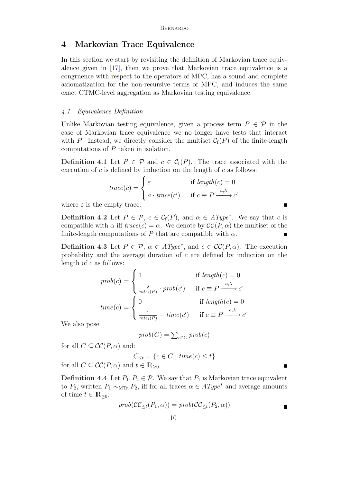### 4 Markovian Trace Equivalence

In this section we start by revisiting the definition of Markovian trace equivalence given in [17], then we prove that Markovian trace equivalence is a congruence with respect to the operators of MPC, has a sound and complete axiomatization for the non-recursive terms of MPC, and induces the same exact CTMC-level aggregation as Markovian testing equivalence.

### 4.1 Equivalence Definition

Unlike Markovian testing equivalence, given a process term  $P \in \mathcal{P}$  in the case of Markovian trace equivalence we no longer have tests that interact with P. Instead, we directly consider the multiset  $C_f(P)$  of the finite-length computations of P taken in isolation.

**Definition 4.1** Let  $P \in \mathcal{P}$  and  $c \in \mathcal{C}_f(P)$ . The trace associated with the execution of  $c$  is defined by induction on the length of  $c$  as follows:

$$
trace(c) = \begin{cases} \varepsilon & \text{if } length(c) = 0\\ a \cdot trace(c') & \text{if } c \equiv P \xrightarrow{a,\lambda} c' \end{cases}
$$

where  $\varepsilon$  is the empty trace.

**Definition 4.2** Let  $P \in \mathcal{P}$ ,  $c \in \mathcal{C}_f(P)$ , and  $\alpha \in \text{AType}^*$ . We say that c is compatible with  $\alpha$  iff  $trace(c) = \alpha$ . We denote by  $\mathcal{CC}(P, \alpha)$  the multiset of the finite-length computations of P that are compatible with  $\alpha$ .

**Definition 4.3** Let  $P \in \mathcal{P}$ ,  $\alpha \in AType^*$ , and  $c \in CC(P, \alpha)$ . The execution probability and the average duration of c are defined by induction on the length of c as follows:  $\overline{ }$ 

$$
prob(c) = \begin{cases} 1 & \text{if } length(c) = 0\\ \frac{\lambda}{rate_t(P)} \cdot prob(c') & \text{if } c \equiv P \xrightarrow{a,\lambda} c'\\ time(c) = \begin{cases} 0 & \text{if } length(c) = 0\\ \frac{1}{rate_t(P)} + time(c') & \text{if } c \equiv P \xrightarrow{a,\lambda} c' \end{cases} \end{cases}
$$

We also pose:

$$
prob(C) = \sum_{c \in C} prob(c)
$$

for all  $C \subseteq \mathcal{CC}(P, \alpha)$  and:

$$
C_{\leq t} = \{c \in C \mid \text{time}(c) \leq t\}
$$

for all  $C \subseteq \mathcal{CC}(P, \alpha)$  and  $t \in \mathbb{R}_{\geq 0}$ .

**Definition 4.4** Let  $P_1, P_2 \in \mathcal{P}$ . We say that  $P_1$  is Markovian trace equivalent to  $P_2$ , written  $P_1 \sim_{\text{MTF}} P_2$ , iff for all traces  $\alpha \in AType^*$  and average amounts of time  $t \in \mathbb{R}_{\geq 0}$ :

$$
prob(\mathcal{CC}_{\leq t}(P_1, \alpha)) = prob(\mathcal{CC}_{\leq t}(P_2, \alpha))
$$

 $\blacksquare$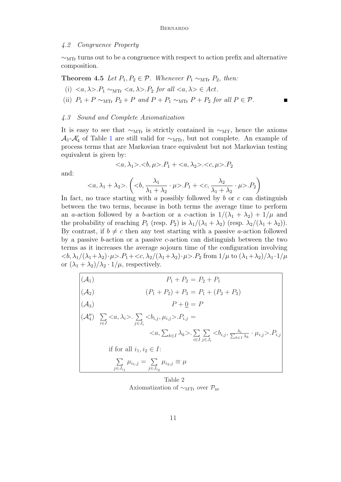#### 4.2 Congruence Property

∼MTr turns out to be a congruence with respect to action prefix and alternative composition.

Theorem 4.5 Let  $P_1, P_2 \in \mathcal{P}$ . Whenever  $P_1 \sim_{\text{MTr}} P_2$ , then:

- (i)  $\langle a, \lambda \rangle P_1 \sim_{\text{MTr}} \langle a, \lambda \rangle P_2$  for all  $\langle a, \lambda \rangle \in Act$ .
- (ii)  $P_1 + P \sim_{\text{MTr}} P_2 + P$  and  $P + P_1 \sim_{\text{MTr}} P + P_2$  for all  $P \in \mathcal{P}$ .

### 4.3 Sound and Complete Axiomatization

It is easy to see that  $\sim$ <sub>MTr</sub> is strictly contained in  $\sim$ <sub>MT</sub>, hence the axioms  $\mathcal{A}_1$ - $\mathcal{A}'_4$  of Table 1 are still valid for  $\sim_{\text{MTr}}$ , but not complete. An example of process terms that are Markovian trace equivalent but not Markovian testing equivalent is given by:

$$
\langle a, \lambda_1 \rangle \langle b, \mu \rangle \langle P_1 + \langle a, \lambda_2 \rangle \langle c, \mu \rangle \langle P_2
$$

and:

$$
\langle a, \lambda_1 + \lambda_2 \rangle. \left( \langle b, \frac{\lambda_1}{\lambda_1 + \lambda_2} \cdot \mu \rangle. P_1 + \langle c, \frac{\lambda_2}{\lambda_1 + \lambda_2} \cdot \mu \rangle. P_2 \right)
$$

In fact, no trace starting with a possibly followed by b or c can distinguish between the two terms, because in both terms the average time to perform an a-action followed by a b-action or a c-action is  $1/(\lambda_1 + \lambda_2) + 1/\mu$  and the probability of reaching  $P_1$  (resp.  $P_2$ ) is  $\lambda_1/(\lambda_1 + \lambda_2)$  (resp.  $\lambda_2/(\lambda_1 + \lambda_2)$ ). By contrast, if  $b \neq c$  then any test starting with a passive a-action followed by a passive b-action or a passive c-action can distinguish between the two terms as it increases the average sojourn time of the configuration involving  $\langle \langle \delta, \lambda_1/(\lambda_1+\lambda_2) \cdot \mu \rangle \cdot P_1 + \langle \langle \delta, \lambda_2/(\lambda_1+\lambda_2) \cdot \mu \rangle \cdot P_2$  from  $1/\mu$  to  $(\lambda_1+\lambda_2)/\lambda_1 \cdot 1/\mu$ or  $(\lambda_1 + \lambda_2)/\lambda_2 \cdot 1/\mu$ , respectively.

$$
\begin{vmatrix}\n(\mathcal{A}_1) & P_1 + P_2 = P_2 + P_1 \\
(\mathcal{A}_2) & (P_1 + P_2) + P_3 = P_1 + (P_2 + P_3) \\
(\mathcal{A}_3) & P + \underline{0} = P \\
(\mathcal{A}_4'') \sum_{i \in I} < a, \lambda_i > \sum_{j \in J_i} < b_{i,j}, \mu_{i,j} > P_{i,j} = \\
&< a, \sum_{k \in I} \lambda_k > \sum_{i \in I} \sum_{j \in J_i} < b_{i,j}, \frac{\lambda_i}{\sum_{k \in I} \lambda_k} \cdot \mu_{i,j} > P_{i,j} \\
\text{if for all } i_1, i_2 \in I: \\
&\sum_{j \in J_{i_1}} \mu_{i_1, j} = \sum_{j \in J_{i_2}} \mu_{i_2, j} \equiv \mu\n\end{vmatrix}
$$

Table 2 Axiomatization of  $\sim_{\text{MTr}}$  over  $\mathcal{P}_{\text{nr}}$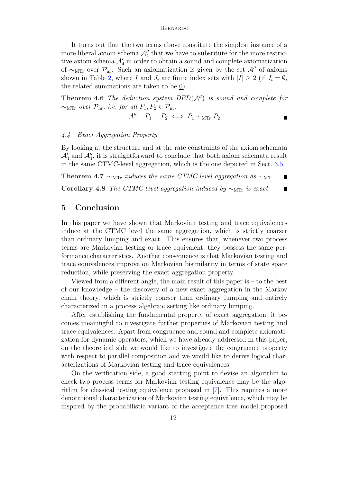It turns out that the two terms above constitute the simplest instance of a more liberal axiom schema  $\mathcal{A}''_4$  that we have to substitute for the more restrictive axiom schema  $\mathcal{A}'_4$  in order to obtain a sound and complete axiomatization of  $\sim_{\text{MTr}}$  over  $\mathcal{P}_{\text{nr}}$ . Such an axiomatization is given by the set  $\mathcal{A}^{\prime\prime}$  of axioms shown in Table 2, where I and  $J_i$  are finite index sets with  $|I| \geq 2$  (if  $J_i = \emptyset$ , the related summations are taken to be 0).

**Theorem 4.6** The deduction system  $DED(\mathcal{A}'')$  is sound and complete for  $\sim_{\text{MTr}}$  over  $\mathcal{P}_{\text{nr}}$ , i.e. for all  $P_1, P_2 \in \mathcal{P}_{\text{nr}}$ :

$$
\mathcal{A}'' \vdash P_1 = P_2 \iff P_1 \sim_{\text{MTr}} P_2
$$

### 4.4 Exact Aggregation Property

By looking at the structure and at the rate constraints of the axiom schemata  $\mathcal{A}'_4$  and  $\mathcal{A}''_4$ , it is straightforward to conclude that both axiom schemata result in the same CTMC-level aggregation, which is the one depicted in Sect. 3.5.

Theorem 4.7  $\sim_{\text{MTr}}$  induces the same CTMC-level aggregation as  $\sim_{\text{MT}}$ .

Corollary 4.8 The CTMC-level aggregation induced by  $\sim_{\text{MTr}}$  is exact.

### 5 Conclusion

In this paper we have shown that Markovian testing and trace equivalences induce at the CTMC level the same aggregation, which is strictly coarser than ordinary lumping and exact. This ensures that, whenever two process terms are Markovian testing or trace equivalent, they possess the same performance characteristics. Another consequence is that Markovian testing and trace equivalences improve on Markovian bisimilarity in terms of state space reduction, while preserving the exact aggregation property.

Viewed from a different angle, the main result of this paper is – to the best of our knowledge – the discovery of a new exact aggregation in the Markov chain theory, which is strictly coarser than ordinary lumping and entirely characterized in a process algebraic setting like ordinary lumping.

After establishing the fundamental property of exact aggregation, it becomes meaningful to investigate further properties of Markovian testing and trace equivalences. Apart from congruence and sound and complete axiomatization for dynamic operators, which we have already addressed in this paper, on the theoretical side we would like to investigate the congruence property with respect to parallel composition and we would like to derive logical characterizations of Markovian testing and trace equivalences.

On the verification side, a good starting point to devise an algorithm to check two process terms for Markovian testing equivalence may be the algorithm for classical testing equivalence proposed in [7]. This requires a more denotational characterization of Markovian testing equivalence, which may be inspired by the probabilistic variant of the acceptance tree model proposed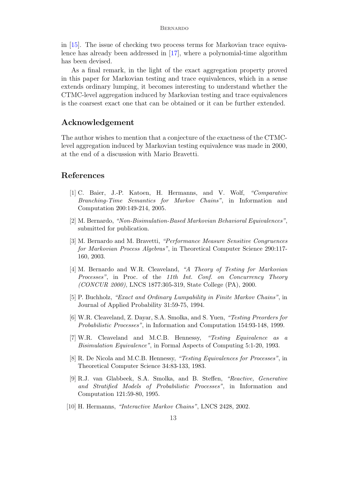in [15]. The issue of checking two process terms for Markovian trace equivalence has already been addressed in [17], where a polynomial-time algorithm has been devised.

As a final remark, in the light of the exact aggregation property proved in this paper for Markovian testing and trace equivalences, which in a sense extends ordinary lumping, it becomes interesting to understand whether the CTMC-level aggregation induced by Markovian testing and trace equivalences is the coarsest exact one that can be obtained or it can be further extended.

### Acknowledgement

The author wishes to mention that a conjecture of the exactness of the CTMClevel aggregation induced by Markovian testing equivalence was made in 2000, at the end of a discussion with Mario Bravetti.

### References

- [1] C. Baier, J.-P. Katoen, H. Hermanns, and V. Wolf, "Comparative Branching-Time Semantics for Markov Chains", in Information and Computation 200:149-214, 2005.
- [2] M. Bernardo, "Non-Bisimulation-Based Markovian Behavioral Equivalences", submitted for publication.
- [3] M. Bernardo and M. Bravetti, "Performance Measure Sensitive Congruences for Markovian Process Algebras", in Theoretical Computer Science 290:117- 160, 2003.
- [4] M. Bernardo and W.R. Cleaveland, "A Theory of Testing for Markovian Processes", in Proc. of the 11th Int. Conf. on Concurrency Theory (CONCUR 2000), LNCS 1877:305-319, State College (PA), 2000.
- [5] P. Buchholz, "Exact and Ordinary Lumpability in Finite Markov Chains", in Journal of Applied Probability 31:59-75, 1994.
- [6] W.R. Cleaveland, Z. Dayar, S.A. Smolka, and S. Yuen, "Testing Preorders for Probabilistic Processes", in Information and Computation 154:93-148, 1999.
- [7] W.R. Cleaveland and M.C.B. Hennessy, "Testing Equivalence as a Bisimulation Equivalence", in Formal Aspects of Computing 5:1-20, 1993.
- [8] R. De Nicola and M.C.B. Hennessy, "Testing Equivalences for Processes", in Theoretical Computer Science 34:83-133, 1983.
- [9] R.J. van Glabbeek, S.A. Smolka, and B. Steffen, "Reactive, Generative and Stratified Models of Probabilistic Processes", in Information and Computation 121:59-80, 1995.
- [10] H. Hermanns, "Interactive Markov Chains", LNCS 2428, 2002.